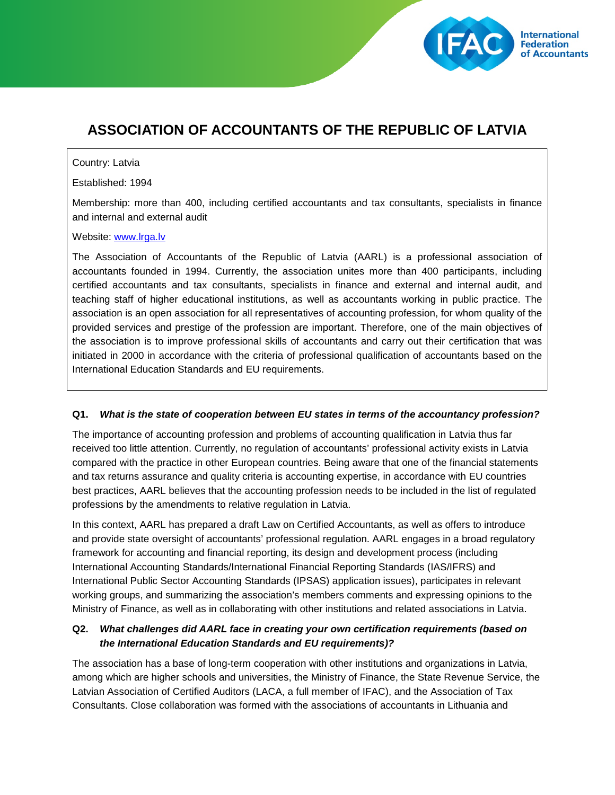

# **ASSOCIATION OF ACCOUNTANTS OF THE REPUBLIC OF LATVIA**

#### Country: Latvia

Established: 1994

Membership: more than 400, including certified accountants and tax consultants, specialists in finance and internal and external audit

#### Website: [www.lrga.lv](http://www.lrga.lv/)

The Association of Accountants of the Republic of Latvia (AARL) is a professional association of accountants founded in 1994. Currently, the association unites more than 400 participants, including certified accountants and tax consultants, specialists in finance and external and internal audit, and teaching staff of higher educational institutions, as well as accountants working in public practice. The association is an open association for all representatives of accounting profession, for whom quality of the provided services and prestige of the profession are important. Therefore, one of the main objectives of the association is to improve professional skills of accountants and carry out their certification that was initiated in 2000 in accordance with the criteria of professional qualification of accountants based on the International Education Standards and EU requirements.

### **Q1.** *What is the state of cooperation between EU states in terms of the accountancy profession?*

The importance of accounting profession and problems of accounting qualification in Latvia thus far received too little attention. Currently, no regulation of accountants' professional activity exists in Latvia compared with the practice in other European countries. Being aware that one of the financial statements and tax returns assurance and quality criteria is accounting expertise, in accordance with EU countries best practices, AARL believes that the accounting profession needs to be included in the list of regulated professions by the amendments to relative regulation in Latvia.

In this context, AARL has prepared a draft Law on Certified Accountants, as well as offers to introduce and provide state oversight of accountants' professional regulation. AARL engages in a broad regulatory framework for accounting and financial reporting, its design and development process (including International Accounting Standards/International Financial Reporting Standards (IAS/IFRS) and International Public Sector Accounting Standards (IPSAS) application issues), participates in relevant working groups, and summarizing the association's members comments and expressing opinions to the Ministry of Finance, as well as in collaborating with other institutions and related associations in Latvia.

## **Q2.** *What challenges did AARL face in creating your own certification requirements (based on the International Education Standards and EU requirements)?*

The association has a base of long-term cooperation with other institutions and organizations in Latvia, among which are higher schools and universities, the Ministry of Finance, the State Revenue Service, the Latvian Association of Certified Auditors (LACA, a full member of IFAC), and the Association of Tax Consultants. Close collaboration was formed with the associations of accountants in Lithuania and